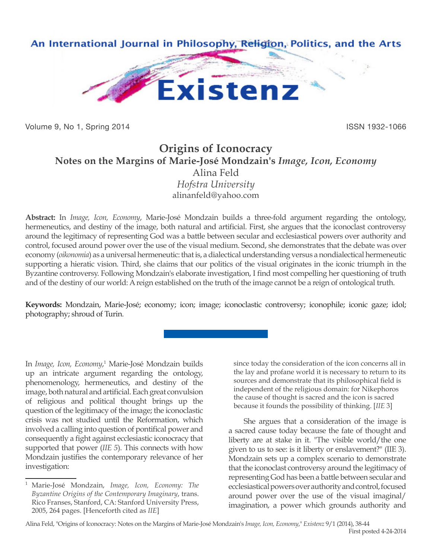

Volume 9, No 1, Spring 2014 **ISSN 1932-1066** 

## **Origins of Iconocracy Notes on the Margins of Marie-José Mondzain's** *Image, Icon, Economy* Alina Feld *Hofstra University* alinanfeld@yahoo.com

**Abstract:** In *Image, Icon, Economy*, Marie-José Mondzain builds a three-fold argument regarding the ontology, hermeneutics, and destiny of the image, both natural and artificial. First, she argues that the iconoclast controversy around the legitimacy of representing God was a battle between secular and ecclesiastical powers over authority and control, focused around power over the use of the visual medium. Second, she demonstrates that the debate was over economy (*oikonomia*) as a universal hermeneutic: that is, a dialectical understanding versus a nondialectical hermeneutic supporting a hieratic vision. Third, she claims that our politics of the visual originates in the iconic triumph in the Byzantine controversy. Following Mondzain's elaborate investigation, I find most compelling her questioning of truth and of the destiny of our world: A reign established on the truth of the image cannot be a reign of ontological truth.

**Keywords:** Mondzain, Marie-José; economy; icon; image; iconoclastic controversy; iconophile; iconic gaze; idol; photography; shroud of Turin.

In *Image, Icon, Economy*,<sup>1</sup> Marie-José Mondzain builds up an intricate argument regarding the ontology, phenomenology, hermeneutics, and destiny of the image, both natural and artificial. Each great convulsion of religious and political thought brings up the question of the legitimacy of the image; the iconoclastic crisis was not studied until the Reformation, which involved a calling into question of pontifical power and consequently a fight against ecclesiastic iconocracy that supported that power (*IIE 5*). This connects with how Mondzain justifies the contemporary relevance of her investigation:

since today the consideration of the icon concerns all in the lay and profane world it is necessary to return to its sources and demonstrate that its philosophical field is independent of the religious domain: for Nikephoros the cause of thought is sacred and the icon is sacred because it founds the possibility of thinking. [*IIE* 3]

She argues that a consideration of the image is a sacred cause today because the fate of thought and liberty are at stake in it. "The visible world/the one given to us to see: is it liberty or enslavement?" (IIE 3). Mondzain sets up a complex scenario to demonstrate that the iconoclast controversy around the legitimacy of representing God has been a battle between secular and ecclesiastical powers over authority and control, focused around power over the use of the visual imaginal/ imagination, a power which grounds authority and

Alina Feld, "Origins of Iconocracy: Notes on the Margins of Marie-José Mondzain's *Image, Icon, Economy*," *Existenz* 9/1 (2014), 38-44 First posted 4-24-2014

<sup>1</sup> Marie-José Mondzain, *Image, Icon, Economy: The Byzantine Origins of the Contemporary Imaginary*, trans. Rico Franses, Stanford, CA: Stanford University Press, 2005, 264 pages. [Henceforth cited as *IIE*]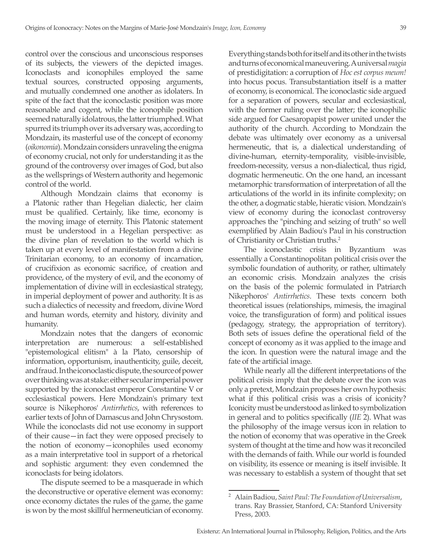control over the conscious and unconscious responses of its subjects, the viewers of the depicted images. Iconoclasts and iconophiles employed the same textual sources, constructed opposing arguments, and mutually condemned one another as idolaters. In spite of the fact that the iconoclastic position was more reasonable and cogent, while the iconophile position seemed naturally idolatrous, the latter triumphed. What spurred its triumph over its adversary was, according to Mondzain, its masterful use of the concept of economy (*oikonomia*). Mondzain considers unraveling the enigma of economy crucial, not only for understanding it as the ground of the controversy over images of God, but also as the wellsprings of Western authority and hegemonic control of the world.

Although Mondzain claims that economy is a Platonic rather than Hegelian dialectic, her claim must be qualified. Certainly, like time, economy is the moving image of eternity. This Platonic statement must be understood in a Hegelian perspective: as the divine plan of revelation to the world which is taken up at every level of manifestation from a divine Trinitarian economy, to an economy of incarnation, of crucifixion as economic sacrifice, of creation and providence, of the mystery of evil, and the economy of implementation of divine will in ecclesiastical strategy, in imperial deployment of power and authority. It is as such a dialectics of necessity and freedom, divine Word and human words, eternity and history, divinity and humanity.

Mondzain notes that the dangers of economic interpretation are numerous: a self-established "epistemological elitism" à la Plato, censorship of information, opportunism, inauthenticity, guile, deceit, and fraud. In the iconoclastic dispute, the source of power over thinking was at stake: either secular imperial power supported by the iconoclast emperor Constantine V or ecclesiastical powers. Here Mondzain's primary text source is Nikephoros' *Antirrhetics*, with references to earlier texts of John of Damascus and John Chrysostom. While the iconoclasts did not use economy in support of their cause—in fact they were opposed precisely to the notion of economy—iconophiles used economy as a main interpretative tool in support of a rhetorical and sophistic argument: they even condemned the iconoclasts for being idolators.

The dispute seemed to be a masquerade in which the deconstructive or operative element was economy: once economy dictates the rules of the game, the game is won by the most skillful hermeneutician of economy. Everything stands both for itself and its other in the twists and turns of economical maneuvering. A universal *magia* of prestidigitation: a corruption of *Hoc est corpus meum!* into hocus pocus. Transubstantiation itself is a matter of economy, is economical. The iconoclastic side argued for a separation of powers, secular and ecclesiastical, with the former ruling over the latter; the iconophilic side argued for Caesaropapist power united under the authority of the church. According to Mondzain the debate was ultimately over economy as a universal hermeneutic, that is, a dialectical understanding of divine-human, eternity-temporality, visible-invisible, freedom-necessity, versus a non-dialectical, thus rigid, dogmatic hermeneutic. On the one hand, an incessant metamorphic transformation of interpretation of all the articulations of the world in its infinite complexity; on the other, a dogmatic stable, hieratic vision. Mondzain's view of economy during the iconoclast controversy approaches the "pinching and seizing of truth" so well exemplified by Alain Badiou's Paul in his construction of Christianity or Christian truths.<sup>2</sup>

The iconoclastic crisis in Byzantium was essentially a Constantinopolitan political crisis over the symbolic foundation of authority, or rather, ultimately an economic crisis. Mondzain analyzes the crisis on the basis of the polemic formulated in Patriarch Nikephoros' *Antirrhetics*. These texts concern both theoretical issues (relationships, mimesis, the imaginal voice, the transfiguration of form) and political issues (pedagogy, strategy, the appropriation of territory). Both sets of issues define the operational field of the concept of economy as it was applied to the image and the icon. In question were the natural image and the fate of the artificial image.

While nearly all the different interpretations of the political crisis imply that the debate over the icon was only a pretext, Mondzain proposes her own hypothesis: what if this political crisis was a crisis of iconicity? Iconicity must be understood as linked to symbolization in general and to politics specifically (*IIE* 2). What was the philosophy of the image versus icon in relation to the notion of economy that was operative in the Greek system of thought at the time and how was it reconciled with the demands of faith. While our world is founded on visibility, its essence or meaning is itself invisible. It was necessary to establish a system of thought that set

<sup>2</sup> Alain Badiou, *Saint Paul: The Foundation of Universalism*, trans. Ray Brassier, Stanford, CA: Stanford University Press, 2003.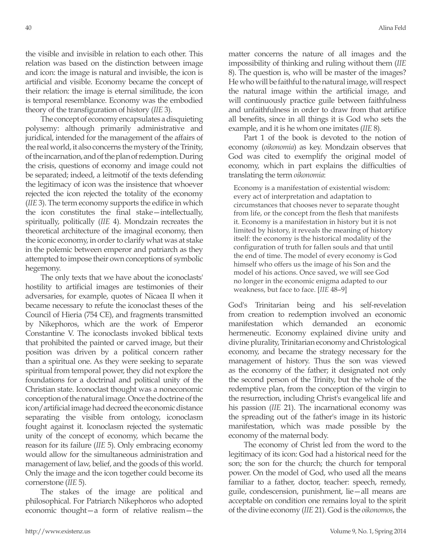the visible and invisible in relation to each other. This relation was based on the distinction between image and icon: the image is natural and invisible, the icon is artificial and visible. Economy became the concept of their relation: the image is eternal similitude, the icon is temporal resemblance. Economy was the embodied theory of the transfiguration of history (*IIE* 3).

The concept of economy encapsulates a disquieting polysemy: although primarily administrative and juridical, intended for the management of the affairs of the real world, it also concerns the mystery of the Trinity, of the incarnation, and of the plan of redemption. During the crisis, questions of economy and image could not be separated; indeed, a leitmotif of the texts defending the legitimacy of icon was the insistence that whoever rejected the icon rejected the totality of the economy (*IIE* 3). The term economy supports the edifice in which the icon constitutes the final stake—intellectually, spiritually, politically (*IIE* 4). Mondzain recreates the theoretical architecture of the imaginal economy, then the iconic economy, in order to clarify what was at stake in the polemic between emperor and patriarch as they attempted to impose their own conceptions of symbolic hegemony.

The only texts that we have about the iconoclasts' hostility to artificial images are testimonies of their adversaries, for example, quotes of Nicaea II when it became necessary to refute the iconoclast theses of the Council of Hieria (754 CE), and fragments transmitted by Nikephoros, which are the work of Emperor Constantine V. The iconoclasts invoked biblical texts that prohibited the painted or carved image, but their position was driven by a political concern rather than a spiritual one. As they were seeking to separate spiritual from temporal power, they did not explore the foundations for a doctrinal and political unity of the Christian state. Iconoclast thought was a noneconomic conception of the natural image. Once the doctrine of the icon/artificial image had decreed the economic distance separating the visible from ontology, iconoclasm fought against it. Iconoclasm rejected the systematic unity of the concept of economy, which became the reason for its failure (*IIE* 5). Only embracing economy would allow for the simultaneous administration and management of law, belief, and the goods of this world. Only the image and the icon together could become its cornerstone (*IIE* 5).

The stakes of the image are political and philosophical. For Patriarch Nikephoros who adopted economic thought—a form of relative realism—the matter concerns the nature of all images and the impossibility of thinking and ruling without them (*IIE* 8). The question is, who will be master of the images? He who will be faithful to the natural image, will respect the natural image within the artificial image, and will continuously practice guile between faithfulness and unfaithfulness in order to draw from that artifice all benefits, since in all things it is God who sets the example, and it is he whom one imitates (*IIE* 8).

Part 1 of the book is devoted to the notion of economy (*oikonomia*) as key. Mondzain observes that God was cited to exemplify the original model of economy, which in part explains the difficulties of translating the term *oikonomia*:

Economy is a manifestation of existential wisdom: every act of interpretation and adaptation to circumstances that chooses never to separate thought from life, or the concept from the flesh that manifests it. Economy is a manifestation in history but it is not limited by history, it reveals the meaning of history itself: the economy is the historical modality of the configuration of truth for fallen souls and that until the end of time. The model of every economy is God himself who offers us the image of his Son and the model of his actions. Once saved, we will see God no longer in the economic enigma adapted to our weakness, but face to face. [*IIE* 48–9]

God's Trinitarian being and his self-revelation from creation to redemption involved an economic manifestation which demanded an economic hermeneutic. Economy explained divine unity and divine plurality, Trinitarian economy and Christological economy, and became the strategy necessary for the management of history. Thus the son was viewed as the economy of the father; it designated not only the second person of the Trinity, but the whole of the redemptive plan, from the conception of the virgin to the resurrection, including Christ's evangelical life and his passion (*IIE* 21). The incarnational economy was the spreading out of the father's image in its historic manifestation, which was made possible by the economy of the maternal body.

The economy of Christ led from the word to the legitimacy of its icon: God had a historical need for the son; the son for the church; the church for temporal power. On the model of God, who used all the means familiar to a father, doctor, teacher: speech, remedy, guile, condescension, punishment, lie—all means are acceptable on condition one remains loyal to the spirit of the divine economy (*IIE* 21). God is the *oikonomos*, the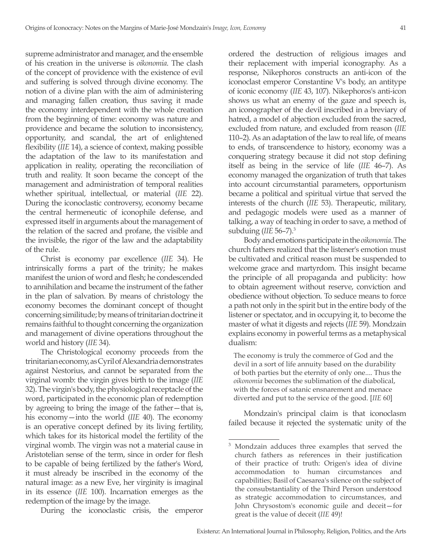supreme administrator and manager, and the ensemble of his creation in the universe is *oikonomia*. The clash of the concept of providence with the existence of evil and suffering is solved through divine economy. The notion of a divine plan with the aim of administering and managing fallen creation, thus saving it made the economy interdependent with the whole creation from the beginning of time: economy was nature and providence and became the solution to inconsistency, opportunity, and scandal, the art of enlightened flexibility (*IIE* 14), a science of context, making possible the adaptation of the law to its manifestation and application in reality, operating the reconciliation of truth and reality. It soon became the concept of the management and administration of temporal realities whether spiritual, intellectual, or material (*IIE* 22). During the iconoclastic controversy, economy became the central hermeneutic of iconophile defense, and expressed itself in arguments about the management of the relation of the sacred and profane, the visible and the invisible, the rigor of the law and the adaptability of the rule.

Christ is economy par excellence (*IIE* 34). He intrinsically forms a part of the trinity; he makes manifest the union of word and flesh; he condescended to annihilation and became the instrument of the father in the plan of salvation. By means of christology the economy becomes the dominant concept of thought concerning similitude; by means of trinitarian doctrine it remains faithful to thought concerning the organization and management of divine operations throughout the world and history (*IIE* 34).

The Christological economy proceeds from the trinitarian economy, as Cyril of Alexandria demonstrates against Nestorius, and cannot be separated from the virginal womb: the virgin gives birth to the image (*IIE* 32). The virgin's body, the physiological receptacle of the word, participated in the economic plan of redemption by agreeing to bring the image of the father—that is, his economy—into the world (*IIE* 40). The economy is an operative concept defined by its living fertility, which takes for its historical model the fertility of the virginal womb. The virgin was not a material cause in Aristotelian sense of the term, since in order for flesh to be capable of being fertilized by the father's Word, it must already be inscribed in the economy of the natural image: as a new Eve, her virginity is imaginal in its essence (*IIE* 100). Incarnation emerges as the redemption of the image by the image.

During the iconoclastic crisis, the emperor

ordered the destruction of religious images and their replacement with imperial iconography. As a response, Nikephoros constructs an anti-icon of the iconoclast emperor Constantine V's body, an antitype of iconic economy (*IIE* 43, 107). Nikephoros's anti-icon shows us what an enemy of the gaze and speech is, an iconographer of the devil inscribed in a breviary of hatred, a model of abjection excluded from the sacred, excluded from nature, and excluded from reason (*IIE* 110–2). As an adaptation of the law to real life, of means to ends, of transcendence to history, economy was a conquering strategy because it did not stop defining itself as being in the service of life (*IIE* 46–7). As economy managed the organization of truth that takes into account circumstantial parameters, opportunism became a political and spiritual virtue that served the interests of the church (*IIE* 53). Therapeutic, military, and pedagogic models were used as a manner of talking, a way of teaching in order to save, a method of subduing (*IIE* 56–7).<sup>3</sup>

Body and emotions participate in the *oikonomia*. The church fathers realized that the listener's emotion must be cultivated and critical reason must be suspended to welcome grace and martyrdom. This insight became the principle of all propaganda and publicity: how to obtain agreement without reserve, conviction and obedience without objection. To seduce means to force a path not only in the spirit but in the entire body of the listener or spectator, and in occupying it, to become the master of what it digests and rejects (*IIE* 59). Mondzain explains economy in powerful terms as a metaphysical dualism:

The economy is truly the commerce of God and the devil in a sort of life annuity based on the durability of both parties but the eternity of only one.... Thus the *oikonomia* becomes the sublimation of the diabolical, with the forces of satanic ensnarement and menace diverted and put to the service of the good. [*IIE* 60]

Mondzain's principal claim is that iconoclasm failed because it rejected the systematic unity of the

Mondzain adduces three examples that served the church fathers as references in their justification of their practice of truth: Origen's idea of divine accommodation to human circumstances and capabilities; Basil of Caesarea's silence on the subject of the consubstantiality of the Third Person understood as strategic accommodation to circumstances, and John Chrysostom's economic guile and deceit—for great is the value of deceit (*IIE* 49)!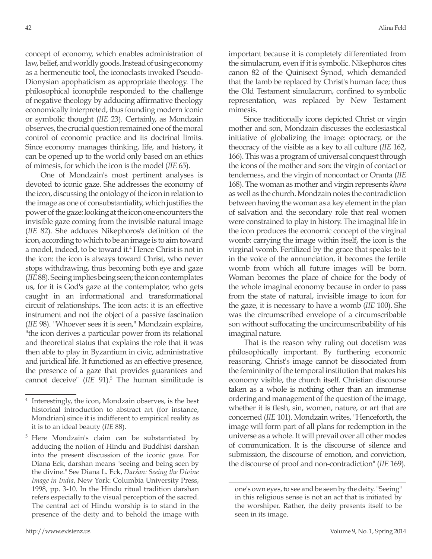concept of economy, which enables administration of law, belief, and worldly goods. Instead of using economy as a hermeneutic tool, the iconoclasts invoked Pseudo-Dionysian apophaticism as appropriate theology. The philosophical iconophile responded to the challenge of negative theology by adducing affirmative theology economically interpreted, thus founding modern iconic or symbolic thought (*IIE* 23). Certainly, as Mondzain observes, the crucial question remained one of the moral control of economic practice and its doctrinal limits. Since economy manages thinking, life, and history, it can be opened up to the world only based on an ethics of mimesis, for which the icon is the model (*IIE* 65).

One of Mondzain's most pertinent analyses is devoted to iconic gaze. She addresses the economy of the icon, discussing the ontology of the icon in relation to the image as one of consubstantiality, which justifies the power of the gaze: looking at the icon one encounters the invisible gaze coming from the invisible natural image (*IIE* 82). She adduces Nikephoros's definition of the icon, according to which to be an image is to aim toward a model, indeed, to be toward it.<sup>4</sup> Hence Christ is not in the icon: the icon is always toward Christ, who never stops withdrawing, thus becoming both eye and gaze (*IIE* 88). Seeing implies being seen; the icon contemplates us, for it is God's gaze at the contemplator, who gets caught in an informational and transformational circuit of relationships. The icon acts: it is an effective instrument and not the object of a passive fascination (*IIE* 98). "Whoever sees it is seen," Mondzain explains, "the icon derives a particular power from its relational and theoretical status that explains the role that it was then able to play in Byzantium in civic, administrative and juridical life. It functioned as an effective presence, the presence of a gaze that provides guarantees and cannot deceive" (*IIE* 91).5 The human similitude is important because it is completely differentiated from the simulacrum, even if it is symbolic. Nikephoros cites canon 82 of the Quinisext Synod, which demanded that the lamb be replaced by Christ's human face; thus the Old Testament simulacrum, confined to symbolic representation, was replaced by New Testament mimesis.

Since traditionally icons depicted Christ or virgin mother and son, Mondzain discusses the ecclesiastical initiative of globalizing the image: optocracy, or the theocracy of the visible as a key to all culture (*IIE* 162, 166). This was a program of universal conquest through the icons of the mother and son: the virgin of contact or tenderness, and the virgin of noncontact or Oranta (*IIE* 168). The woman as mother and virgin represents *khora* as well as the church. Mondzain notes the contradiction between having the woman as a key element in the plan of salvation and the secondary role that real women were constrained to play in history. The imaginal life in the icon produces the economic concept of the virginal womb: carrying the image within itself, the icon is the virginal womb. Fertilized by the grace that speaks to it in the voice of the annunciation, it becomes the fertile womb from which all future images will be born. Woman becomes the place of choice for the body of the whole imaginal economy because in order to pass from the state of natural, invisible image to icon for the gaze, it is necessary to have a womb (*IIE* 100). She was the circumscribed envelope of a circumscribable son without suffocating the uncircumscribability of his imaginal nature.

That is the reason why ruling out docetism was philosophically important. By furthering economic reasoning, Christ's image cannot be dissociated from the femininity of the temporal institution that makes his economy visible, the church itself. Christian discourse taken as a whole is nothing other than an immense ordering and management of the question of the image, whether it is flesh, sin, women, nature, or art that are concerned (*IIE* 101). Mondzain writes, "Henceforth, the image will form part of all plans for redemption in the universe as a whole. It will prevail over all other modes of communication. It is the discourse of silence and submission, the discourse of emotion, and conviction, the discourse of proof and non-contradiction" (*IIE* 169).

Interestingly, the icon, Mondzain observes, is the best historical introduction to abstract art (for instance, Mondrian) since it is indifferent to empirical reality as it is to an ideal beauty (*IIE* 88).

<sup>5</sup> Here Mondzain's claim can be substantiated by adducing the notion of Hindu and Buddhist darshan into the present discussion of the iconic gaze. For Diana Eck, darshan means "seeing and being seen by the divine." See Diana L. Eck, *Darśan: Seeing the Divine Image in India*, New York: Columbia University Press, 1998, pp. 3-10. In the Hindu ritual tradition darshan refers especially to the visual perception of the sacred. The central act of Hindu worship is to stand in the presence of the deity and to behold the image with

one's own eyes, to see and be seen by the deity. "Seeing" in this religious sense is not an act that is initiated by the worshiper. Rather, the deity presents itself to be seen in its image.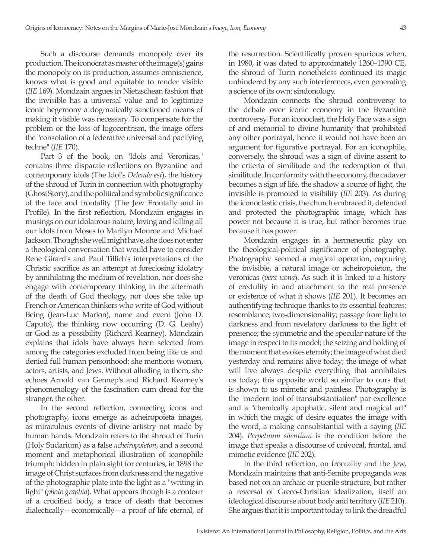Such a discourse demands monopoly over its production. The iconocrat as master of the image(s) gains the monopoly on its production, assumes omniscience, knows what is good and equitable to render visible (*IIE* 169). Mondzain argues in Nietzschean fashion that the invisible has a universal value and to legitimize iconic hegemony a dogmatically sanctioned means of making it visible was necessary. To compensate for the problem or the loss of logocentrism, the image offers the "consolation of a federative universal and pacifying techne" (*IIE* 170).

Part 3 of the book, on "Idols and Veronicas," contains three disparate reflections on Byzantine and contemporary idols (The Idol's *Delenda est*), the history of the shroud of Turin in connection with photography (Ghost Story), and the political and symbolic significance of the face and frontality (The Jew Frontally and in Profile). In the first reflection, Mondzain engages in musings on our idolatrous nature, loving and killing all our idols from Moses to Marilyn Monroe and Michael Jackson. Though she well might have, she does not enter a theological conversation that would have to consider Rene Girard's and Paul Tillich's interpretations of the Christic sacrifice as an attempt at foreclosing idolatry by annihilating the medium of revelation, nor does she engage with contemporary thinking in the aftermath of the death of God theology, nor does she take up French or American thinkers who write of God without Being (Jean-Luc Marion), name and event (John D. Caputo), the thinking now occurring (D. G. Leahy) or God as a possibility (Richard Kearney). Mondzain explains that idols have always been selected from among the categories excluded from being like us and denied full human personhood: she mentions women, actors, artists, and Jews. Without alluding to them, she echoes Arnold van Gennep's and Richard Kearney's phenomenology of the fascination cum dread for the stranger, the other.

In the second reflection, connecting icons and photography, icons emerge as acheiropoieta images, as miraculous events of divine artistry not made by human hands. Mondzain refers to the shroud of Turin (Holy Sudarium) as a false *acheiropoieton*, and a second moment and metaphorical illustration of iconophile triumph: hidden in plain sight for centuries, in 1898 the image of Christ surfaces from darkness and the negative of the photographic plate into the light as a "writing in light" (*photo graphia*). What appears though is a contour of a crucified body, a trace of death that becomes dialectically—economically—a proof of life eternal, of the resurrection. Scientifically proven spurious when, in 1980, it was dated to approximately 1260–1390 CE, the shroud of Turin nonetheless continued its magic unhindered by any such interferences, even generating a science of its own: sindonology.

Mondzain connects the shroud controversy to the debate over iconic economy in the Byzantine controversy. For an iconoclast, the Holy Face was a sign of and memorial to divine humanity that prohibited any other portrayal, hence it would not have been an argument for figurative portrayal. For an iconophile, conversely, the shroud was a sign of divine assent to the criteria of similitude and the redemption of that similitude. In conformity with the economy, the cadaver becomes a sign of life, the shadow a source of light, the invisible is promoted to visibility (*IIE* 203). As during the iconoclastic crisis, the church embraced it, defended and protected the photographic image, which has power not because it is true, but rather becomes true because it has power.

Mondzain engages in a hermeneutic play on the theological-political significance of photography. Photography seemed a magical operation, capturing the invisible, a natural image or acheiropoieton, the veronicas (*vera icona*). As such it is linked to a history of credulity in and attachment to the real presence or existence of what it shows (*IIE* 201). It becomes an authentifying technique thanks to its essential features: resemblance; two-dimensionality; passage from light to darkness and from revelatory darkness to the light of presence; the symmetric and the specular nature of the image in respect to its model; the seizing and holding of the moment that evokes eternity; the image of what died yesterday and remains alive today; the image of what will live always despite everything that annihilates us today; this opposite world so similar to ours that is shown to us mimetic and painless. Photography is the "modern tool of transubstantiation" par excellence and a "chemically apophatic, silent and magical art" in which the magic of desire equates the image with the word, a making consubstantial with a saying (*IIE* 204). *Perpetuum silentium* is the condition before the image that speaks a discourse of univocal, frontal, and mimetic evidence (*IIE* 202).

In the third reflection, on frontality and the Jew, Mondzain maintains that anti-Semite propaganda was based not on an archaic or puerile structure, but rather a reversal of Greco-Christian idealization, itself an ideological discourse about body and territory (*IIE* 210). She argues that it is important today to link the dreadful